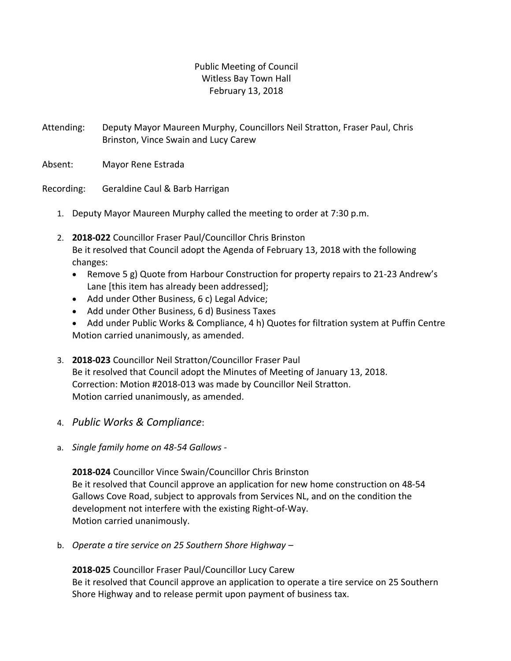## Public Meeting of Council Witless Bay Town Hall February 13, 2018

Attending: Deputy Mayor Maureen Murphy, Councillors Neil Stratton, Fraser Paul, Chris Brinston, Vince Swain and Lucy Carew

Absent: Mayor Rene Estrada

Recording: Geraldine Caul & Barb Harrigan

- 1. Deputy Mayor Maureen Murphy called the meeting to order at 7:30 p.m.
- 2. **2018-022** Councillor Fraser Paul/Councillor Chris Brinston Be it resolved that Council adopt the Agenda of February 13, 2018 with the following changes:
	- Remove 5 g) Quote from Harbour Construction for property repairs to 21-23 Andrew's Lane [this item has already been addressed];
	- Add under Other Business, 6 c) Legal Advice;
	- Add under Other Business, 6 d) Business Taxes
	- Add under Public Works & Compliance, 4 h) Quotes for filtration system at Puffin Centre Motion carried unanimously, as amended.
- 3. **2018-023** Councillor Neil Stratton/Councillor Fraser Paul Be it resolved that Council adopt the Minutes of Meeting of January 13, 2018. Correction: Motion #2018-013 was made by Councillor Neil Stratton. Motion carried unanimously, as amended.
- 4. *Public Works & Compliance*:
- a. *Single family home on 48-54 Gallows -*

**2018-024** Councillor Vince Swain/Councillor Chris Brinston Be it resolved that Council approve an application for new home construction on 48-54 Gallows Cove Road, subject to approvals from Services NL, and on the condition the development not interfere with the existing Right-of-Way. Motion carried unanimously.

b. *Operate a tire service on 25 Southern Shore Highway* –

**2018-025** Councillor Fraser Paul/Councillor Lucy Carew Be it resolved that Council approve an application to operate a tire service on 25 Southern Shore Highway and to release permit upon payment of business tax.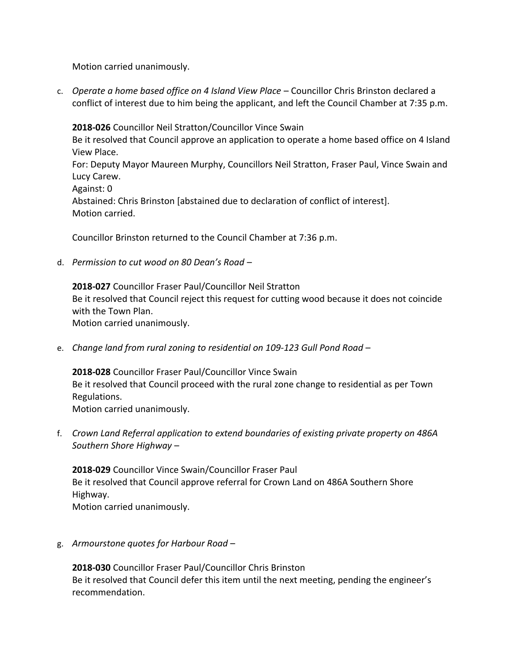Motion carried unanimously.

c. *Operate a home based office on 4 Island View Place* – Councillor Chris Brinston declared a conflict of interest due to him being the applicant, and left the Council Chamber at 7:35 p.m.

**2018-026** Councillor Neil Stratton/Councillor Vince Swain Be it resolved that Council approve an application to operate a home based office on 4 Island View Place. For: Deputy Mayor Maureen Murphy, Councillors Neil Stratton, Fraser Paul, Vince Swain and Lucy Carew. Against: 0 Abstained: Chris Brinston [abstained due to declaration of conflict of interest]. Motion carried.

Councillor Brinston returned to the Council Chamber at 7:36 p.m.

d. *Permission to cut wood on 80 Dean's Road* –

**2018-027** Councillor Fraser Paul/Councillor Neil Stratton Be it resolved that Council reject this request for cutting wood because it does not coincide with the Town Plan. Motion carried unanimously.

e. *Change land from rural zoning to residential on 109-123 Gull Pond Road –* 

**2018-028** Councillor Fraser Paul/Councillor Vince Swain Be it resolved that Council proceed with the rural zone change to residential as per Town Regulations. Motion carried unanimously.

f. *Crown Land Referral application to extend boundaries of existing private property on 486A Southern Shore Highway* –

**2018-029** Councillor Vince Swain/Councillor Fraser Paul Be it resolved that Council approve referral for Crown Land on 486A Southern Shore Highway. Motion carried unanimously.

g. *Armourstone quotes for Harbour Road* –

**2018-030** Councillor Fraser Paul/Councillor Chris Brinston Be it resolved that Council defer this item until the next meeting, pending the engineer's recommendation.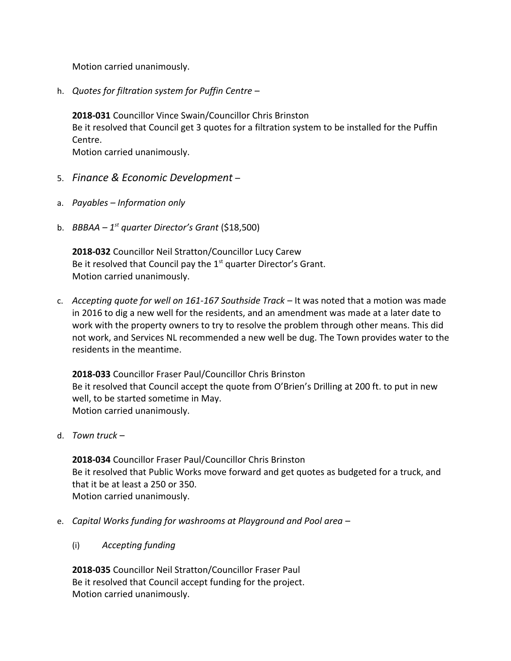Motion carried unanimously.

h. *Quotes for filtration system for Puffin Centre* –

**2018-031** Councillor Vince Swain/Councillor Chris Brinston Be it resolved that Council get 3 quotes for a filtration system to be installed for the Puffin Centre. Motion carried unanimously.

5. *Finance & Economic Development* –

- a. *Payables Information only*
- b. *BBBAA 1st quarter Director's Grant* (\$18,500)

**2018-032** Councillor Neil Stratton/Councillor Lucy Carew Be it resolved that Council pay the  $1<sup>st</sup>$  quarter Director's Grant. Motion carried unanimously.

c. *Accepting quote for well on 161-167 Southside Track* – It was noted that a motion was made in 2016 to dig a new well for the residents, and an amendment was made at a later date to work with the property owners to try to resolve the problem through other means. This did not work, and Services NL recommended a new well be dug. The Town provides water to the residents in the meantime.

**2018-033** Councillor Fraser Paul/Councillor Chris Brinston Be it resolved that Council accept the quote from O'Brien's Drilling at 200 ft. to put in new well, to be started sometime in May. Motion carried unanimously.

d. *Town truck* –

**2018-034** Councillor Fraser Paul/Councillor Chris Brinston Be it resolved that Public Works move forward and get quotes as budgeted for a truck, and that it be at least a 250 or 350. Motion carried unanimously.

- e. *Capital Works funding for washrooms at Playground and Pool area*
	- (i) *Accepting funding*

**2018-035** Councillor Neil Stratton/Councillor Fraser Paul Be it resolved that Council accept funding for the project. Motion carried unanimously.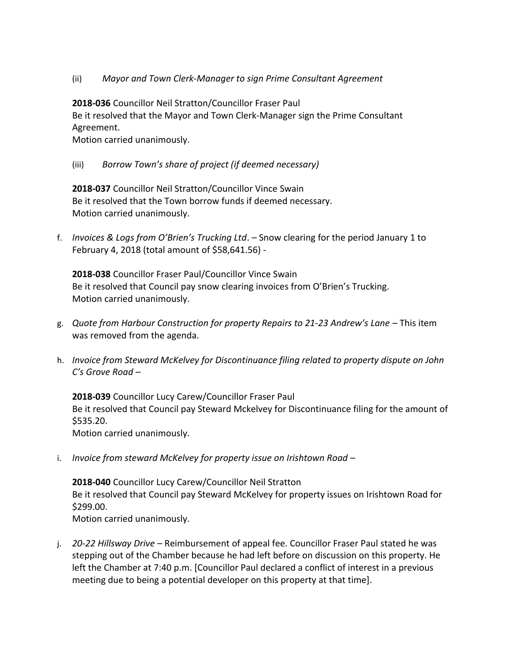(ii) *Mayor and Town Clerk-Manager to sign Prime Consultant Agreement*

**2018-036** Councillor Neil Stratton/Councillor Fraser Paul Be it resolved that the Mayor and Town Clerk-Manager sign the Prime Consultant Agreement.

Motion carried unanimously.

(iii) *Borrow Town's share of project (if deemed necessary)*

**2018-037** Councillor Neil Stratton/Councillor Vince Swain Be it resolved that the Town borrow funds if deemed necessary. Motion carried unanimously.

f. *Invoices & Logs from O'Brien's Trucking Ltd*. – Snow clearing for the period January 1 to February 4, 2018 (total amount of \$58,641.56) -

**2018-038** Councillor Fraser Paul/Councillor Vince Swain Be it resolved that Council pay snow clearing invoices from O'Brien's Trucking. Motion carried unanimously.

- g. *Quote from Harbour Construction for property Repairs to 21-23 Andrew's Lane* This item was removed from the agenda.
- h. *Invoice from Steward McKelvey for Discontinuance filing related to property dispute on John C's Grove Road* –

**2018-039** Councillor Lucy Carew/Councillor Fraser Paul Be it resolved that Council pay Steward Mckelvey for Discontinuance filing for the amount of \$535.20.

Motion carried unanimously.

i. *Invoice from steward McKelvey for property issue on Irishtown Road* –

**2018-040** Councillor Lucy Carew/Councillor Neil Stratton Be it resolved that Council pay Steward McKelvey for property issues on Irishtown Road for \$299.00. Motion carried unanimously.

j. *20-22 Hillsway Drive* – Reimbursement of appeal fee. Councillor Fraser Paul stated he was stepping out of the Chamber because he had left before on discussion on this property. He left the Chamber at 7:40 p.m. [Councillor Paul declared a conflict of interest in a previous meeting due to being a potential developer on this property at that time].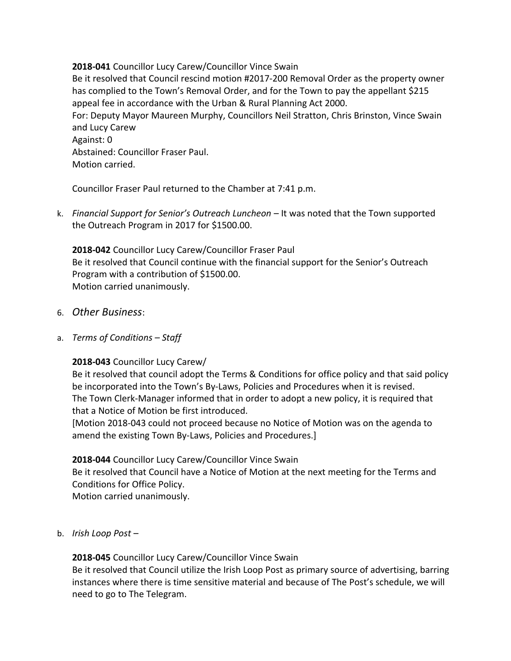#### **2018-041** Councillor Lucy Carew/Councillor Vince Swain

Be it resolved that Council rescind motion #2017-200 Removal Order as the property owner has complied to the Town's Removal Order, and for the Town to pay the appellant \$215 appeal fee in accordance with the Urban & Rural Planning Act 2000. For: Deputy Mayor Maureen Murphy, Councillors Neil Stratton, Chris Brinston, Vince Swain and Lucy Carew Against: 0 Abstained: Councillor Fraser Paul. Motion carried.

Councillor Fraser Paul returned to the Chamber at 7:41 p.m.

k. *Financial Support for Senior's Outreach Luncheon* – It was noted that the Town supported the Outreach Program in 2017 for \$1500.00.

**2018-042** Councillor Lucy Carew/Councillor Fraser Paul Be it resolved that Council continue with the financial support for the Senior's Outreach Program with a contribution of \$1500.00. Motion carried unanimously.

- 6. *Other Business*:
- a. *Terms of Conditions Staff*

## **2018-043** Councillor Lucy Carew/

Be it resolved that council adopt the Terms & Conditions for office policy and that said policy be incorporated into the Town's By-Laws, Policies and Procedures when it is revised. The Town Clerk-Manager informed that in order to adopt a new policy, it is required that that a Notice of Motion be first introduced.

[Motion 2018-043 could not proceed because no Notice of Motion was on the agenda to amend the existing Town By-Laws, Policies and Procedures.]

**2018-044** Councillor Lucy Carew/Councillor Vince Swain

Be it resolved that Council have a Notice of Motion at the next meeting for the Terms and Conditions for Office Policy.

Motion carried unanimously.

## b. *Irish Loop Post* –

# **2018-045** Councillor Lucy Carew/Councillor Vince Swain

Be it resolved that Council utilize the Irish Loop Post as primary source of advertising, barring instances where there is time sensitive material and because of The Post's schedule, we will need to go to The Telegram.